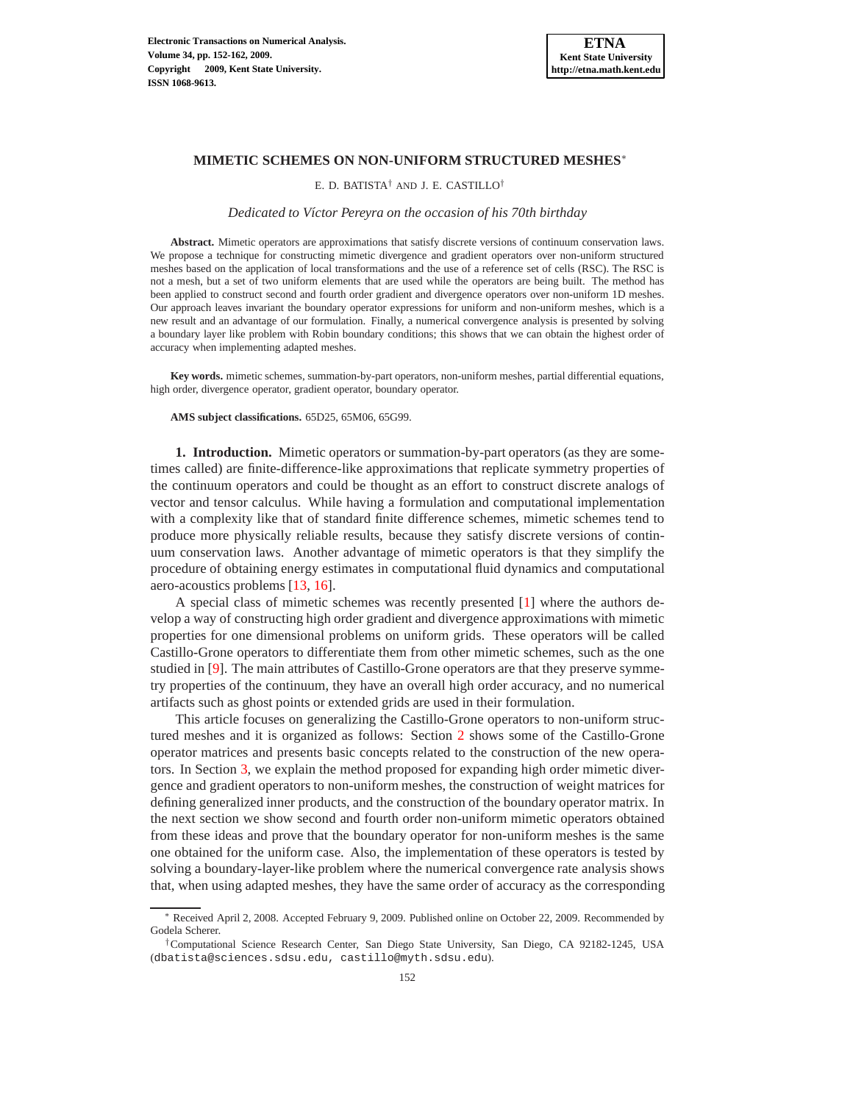

## **MIMETIC SCHEMES ON NON-UNIFORM STRUCTURED MESHES**<sup>∗</sup>

E. D. BATISTA† AND J. E. CASTILLO†

### *Dedicated to V´ıctor Pereyra on the occasion of his 70th birthday*

**Abstract.** Mimetic operators are approximations that satisfy discrete versions of continuum conservation laws. We propose a technique for constructing mimetic divergence and gradient operators over non-uniform structured meshes based on the application of local transformations and the use of a reference set of cells (RSC). The RSC is not a mesh, but a set of two uniform elements that are used while the operators are being built. The method has been applied to construct second and fourth order gradient and divergence operators over non-uniform 1D meshes. Our approach leaves invariant the boundary operator expressions for uniform and non-uniform meshes, which is a new result and an advantage of our formulation. Finally, a numerical convergence analysis is presented by solving a boundary layer like problem with Robin boundary conditions; this shows that we can obtain the highest order of accuracy when implementing adapted meshes.

**Key words.** mimetic schemes, summation-by-part operators, non-uniform meshes, partial differential equations, high order, divergence operator, gradient operator, boundary operator.

**AMS subject classifications.** 65D25, 65M06, 65G99.

**1. Introduction.** Mimetic operators or summation-by-part operators (as they are sometimes called) are finite-difference-like approximations that replicate symmetry properties of the continuum operators and could be thought as an effort to construct discrete analogs of vector and tensor calculus. While having a formulation and computational implementation with a complexity like that of standard finite difference schemes, mimetic schemes tend to produce more physically reliable results, because they satisfy discrete versions of continuum conservation laws. Another advantage of mimetic operators is that they simplify the procedure of obtaining energy estimates in computational fluid dynamics and computational aero-acoustics problems [\[13](#page-10-0), [16](#page-10-1)].

A special class of mimetic schemes was recently presented [\[1\]](#page-10-2) where the authors develop a way of constructing high order gradient and divergence approximations with mimetic properties for one dimensional problems on uniform grids. These operators will be called Castillo-Grone operators to differentiate them from other mimetic schemes, such as the one studied in [\[9\]](#page-10-3). The main attributes of Castillo-Grone operators are that they preserve symmetry properties of the continuum, they have an overall high order accuracy, and no numerical artifacts such as ghost points or extended grids are used in their formulation.

This article focuses on generalizing the Castillo-Grone operators to non-uniform structured meshes and it is organized as follows: Section [2](#page-1-0) shows some of the Castillo-Grone operator matrices and presents basic concepts related to the construction of the new operators. In Section [3,](#page-2-0) we explain the method proposed for expanding high order mimetic divergence and gradient operators to non-uniform meshes, the construction of weight matrices for defining generalized inner products, and the construction of the boundary operator matrix. In the next section we show second and fourth order non-uniform mimetic operators obtained from these ideas and prove that the boundary operator for non-uniform meshes is the same one obtained for the uniform case. Also, the implementation of these operators is tested by solving a boundary-layer-like problem where the numerical convergence rate analysis shows that, when using adapted meshes, they have the same order of accuracy as the corresponding

<sup>∗</sup> Received April 2, 2008. Accepted February 9, 2009. Published online on October 22, 2009. Recommended by Godela Scherer.

<sup>†</sup>Computational Science Research Center, San Diego State University, San Diego, CA 92182-1245, USA (dbatista@sciences.sdsu.edu, castillo@myth.sdsu.edu).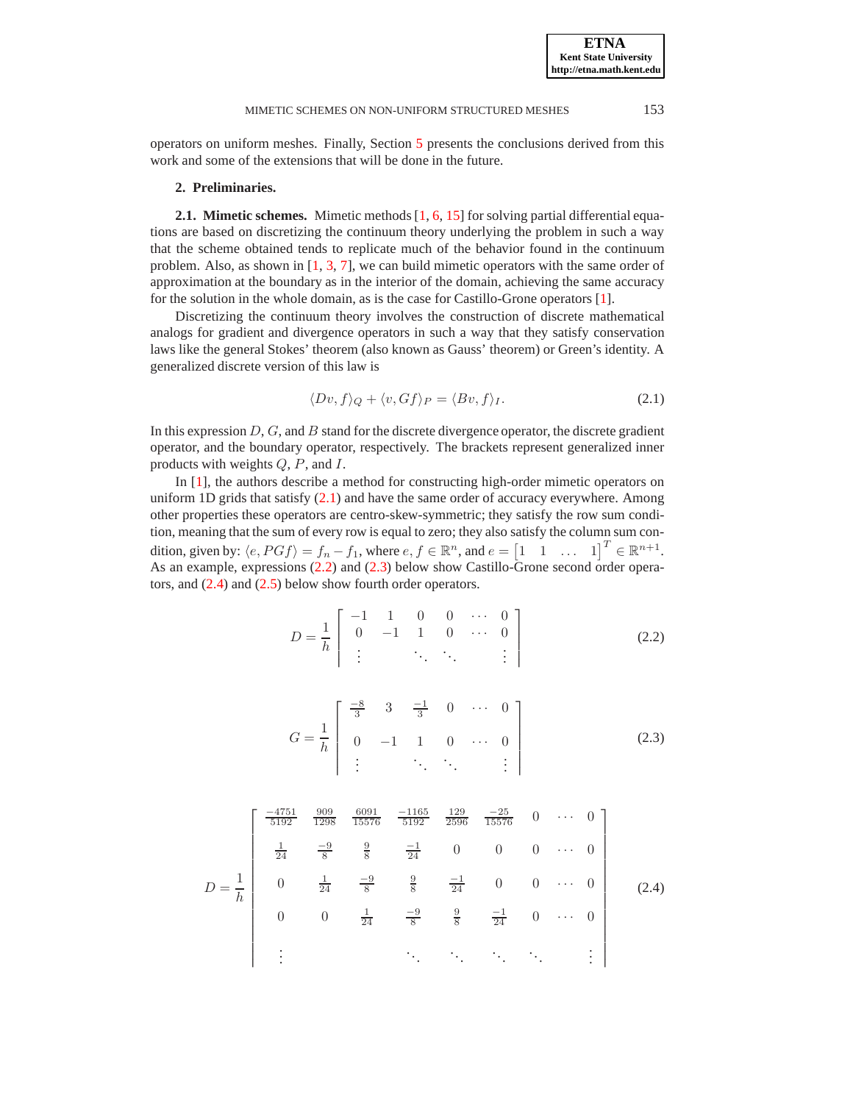**ETNA Kent State University http://etna.math.kent.edu**

<span id="page-1-0"></span>operators on uniform meshes. Finally, Section [5](#page-9-0) presents the conclusions derived from this work and some of the extensions that will be done in the future.

## **2. Preliminaries.**

**2.1. Mimetic schemes.** Mimetic methods [\[1,](#page-10-2) [6,](#page-10-4) [15](#page-10-5)] for solving partial differential equations are based on discretizing the continuum theory underlying the problem in such a way that the scheme obtained tends to replicate much of the behavior found in the continuum problem. Also, as shown in  $[1, 3, 7]$  $[1, 3, 7]$  $[1, 3, 7]$  $[1, 3, 7]$  $[1, 3, 7]$ , we can build mimetic operators with the same order of approximation at the boundary as in the interior of the domain, achieving the same accuracy for the solution in the whole domain, as is the case for Castillo-Grone operators [\[1\]](#page-10-2).

Discretizing the continuum theory involves the construction of discrete mathematical analogs for gradient and divergence operators in such a way that they satisfy conservation laws like the general Stokes' theorem (also known as Gauss' theorem) or Green's identity. A generalized discrete version of this law is

<span id="page-1-1"></span>
$$
\langle Dv, f \rangle_Q + \langle v, Gf \rangle_P = \langle Bv, f \rangle_I. \tag{2.1}
$$

In this expression  $D, G$ , and  $B$  stand for the discrete divergence operator, the discrete gradient operator, and the boundary operator, respectively. The brackets represent generalized inner products with weights  $Q$ ,  $P$ , and  $I$ .

In [\[1\]](#page-10-2), the authors describe a method for constructing high-order mimetic operators on uniform 1D grids that satisfy [\(2.1\)](#page-1-1) and have the same order of accuracy everywhere. Among other properties these operators are centro-skew-symmetric; they satisfy the row sum condition, meaning that the sum of every row is equal to zero; they also satisfy the column sum condition, given by:  $\langle e, PGf \rangle = f_n - f_1$ , where  $e, f \in \mathbb{R}^n$ , and  $e = \begin{bmatrix} 1 & 1 & \dots & 1 \end{bmatrix}^T \in \mathbb{R}^{n+1}$ . As an example, expressions [\(2.2\)](#page-1-2) and [\(2.3\)](#page-1-3) below show Castillo-Grone second order operators, and [\(2.4\)](#page-1-4) and [\(2.5\)](#page-2-1) below show fourth order operators.

<span id="page-1-2"></span>
$$
D = \frac{1}{h} \begin{bmatrix} -1 & 1 & 0 & 0 & \cdots & 0 \\ 0 & -1 & 1 & 0 & \cdots & 0 \\ \vdots & \vdots & \ddots & \ddots & \vdots \end{bmatrix}
$$
 (2.2)

<span id="page-1-3"></span>
$$
G = \frac{1}{h} \begin{bmatrix} \frac{-8}{3} & 3 & \frac{-1}{3} & 0 & \cdots & 0 \\ 0 & -1 & 1 & 0 & \cdots & 0 \\ \vdots & \vdots & \ddots & \ddots & \vdots \end{bmatrix}
$$
 (2.3)

<span id="page-1-4"></span>
$$
D = \frac{1}{h} \begin{bmatrix} \frac{-4751}{5192} & \frac{909}{1298} & \frac{6091}{15576} & \frac{-1165}{5192} & \frac{129}{2596} & \frac{-25}{15576} & 0 & \cdots & 0 \\ \frac{1}{24} & \frac{-9}{8} & \frac{9}{8} & \frac{-1}{24} & 0 & 0 & 0 & \cdots & 0 \\ 0 & \frac{1}{24} & \frac{-9}{8} & \frac{9}{8} & \frac{-1}{24} & 0 & 0 & \cdots & 0 \\ 0 & 0 & \frac{1}{24} & \frac{-9}{8} & \frac{9}{8} & \frac{-1}{24} & 0 & \cdots & 0 \\ \vdots & \vdots & \ddots & \ddots & \ddots & \ddots & \vdots \end{bmatrix} (2.4)
$$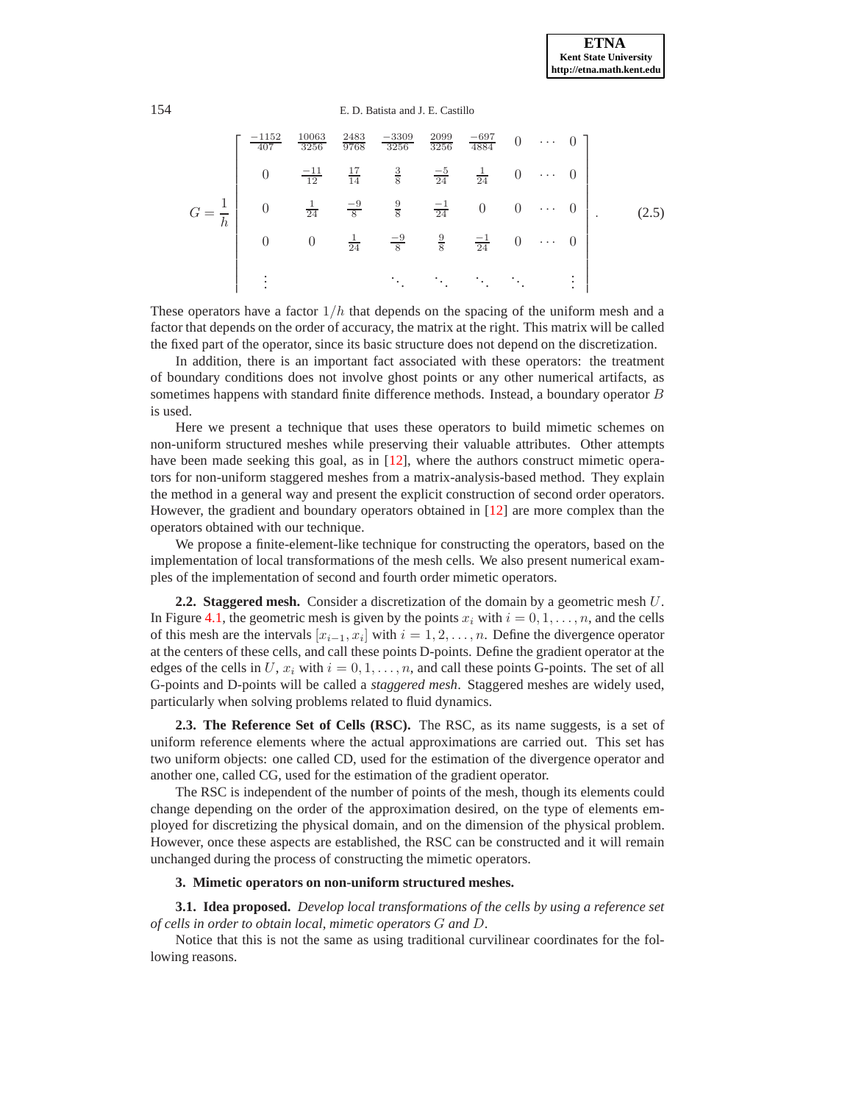<span id="page-2-1"></span>

|  | $\frac{-1152}{407}$ | <u>10063</u><br>3256 | $\frac{2483}{9768}$ | $-3309$<br>3256               | $\frac{2099}{3256}$ | $\frac{-697}{4884}$ | $\overline{0}$ | $\mathcal{A} \rightarrow \mathcal{A}$ . $\mathcal{A}$ |        |  |
|--|---------------------|----------------------|---------------------|-------------------------------|---------------------|---------------------|----------------|-------------------------------------------------------|--------|--|
|  |                     | $\frac{-11}{12}$     | $\frac{17}{14}$     | $rac{3}{8}$                   | $\frac{-5}{24}$     | $\frac{1}{24}$      | $\theta$       | $\cdots$                                              |        |  |
|  |                     | $\frac{1}{24}$       | $\frac{-9}{8}$      | $\frac{9}{8}$ $\frac{-1}{24}$ |                     | $\overline{0}$      | $\overline{0}$ | $\ldots$                                              |        |  |
|  |                     | $\overline{0}$       | $\frac{1}{24}$      | $\frac{-9}{8}$                | $\frac{9}{8}$       | $\frac{-1}{24}$     | $\theta$       | $\cdots$                                              |        |  |
|  |                     |                      |                     | $\bullet$<br>$\bullet$        |                     |                     |                |                                                       | ٠<br>٠ |  |

These operators have a factor  $1/h$  that depends on the spacing of the uniform mesh and a factor that depends on the order of accuracy, the matrix at the right. This matrix will be called the fixed part of the operator, since its basic structure does not depend on the discretization.

In addition, there is an important fact associated with these operators: the treatment of boundary conditions does not involve ghost points or any other numerical artifacts, as sometimes happens with standard finite difference methods. Instead, a boundary operator B is used.

Here we present a technique that uses these operators to build mimetic schemes on non-uniform structured meshes while preserving their valuable attributes. Other attempts have been made seeking this goal, as in [\[12](#page-10-8)], where the authors construct mimetic operators for non-uniform staggered meshes from a matrix-analysis-based method. They explain the method in a general way and present the explicit construction of second order operators. However, the gradient and boundary operators obtained in [\[12](#page-10-8)] are more complex than the operators obtained with our technique.

We propose a finite-element-like technique for constructing the operators, based on the implementation of local transformations of the mesh cells. We also present numerical examples of the implementation of second and fourth order mimetic operators.

**2.2. Staggered mesh.** Consider a discretization of the domain by a geometric mesh U. In Figure [4.1,](#page-4-0) the geometric mesh is given by the points  $x_i$  with  $i = 0, 1, \ldots, n$ , and the cells of this mesh are the intervals  $[x_{i-1}, x_i]$  with  $i = 1, 2, ..., n$ . Define the divergence operator at the centers of these cells, and call these points D-points. Define the gradient operator at the edges of the cells in U,  $x_i$  with  $i = 0, 1, \ldots, n$ , and call these points G-points. The set of all G-points and D-points will be called a *staggered mesh*. Staggered meshes are widely used, particularly when solving problems related to fluid dynamics.

**2.3. The Reference Set of Cells (RSC).** The RSC, as its name suggests, is a set of uniform reference elements where the actual approximations are carried out. This set has two uniform objects: one called CD, used for the estimation of the divergence operator and another one, called CG, used for the estimation of the gradient operator.

The RSC is independent of the number of points of the mesh, though its elements could change depending on the order of the approximation desired, on the type of elements employed for discretizing the physical domain, and on the dimension of the physical problem. However, once these aspects are established, the RSC can be constructed and it will remain unchanged during the process of constructing the mimetic operators.

## <span id="page-2-0"></span>**3. Mimetic operators on non-uniform structured meshes.**

**3.1. Idea proposed.** *Develop local transformations of the cells by using a reference set of cells in order to obtain local, mimetic operators* G *and* D.

Notice that this is not the same as using traditional curvilinear coordinates for the following reasons.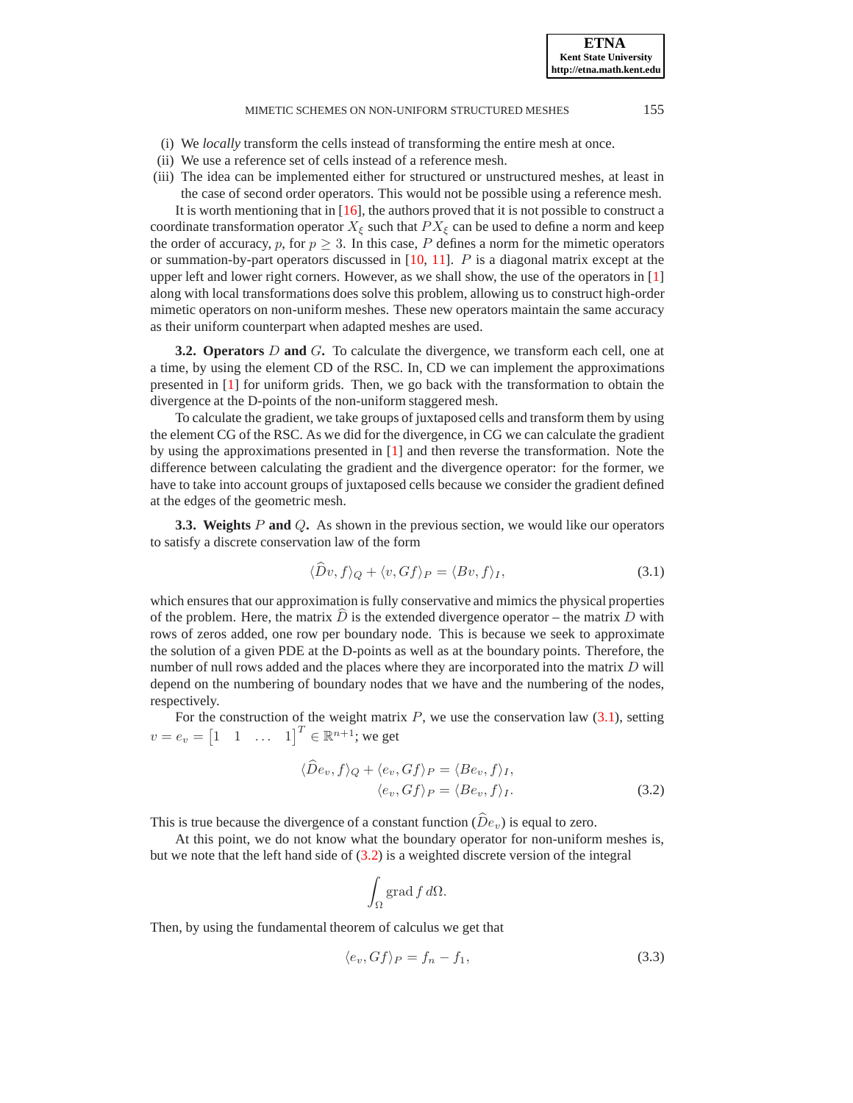### MIMETIC SCHEMES ON NON-UNIFORM STRUCTURED MESHES 155

- (i) We *locally* transform the cells instead of transforming the entire mesh at once.
- (ii) We use a reference set of cells instead of a reference mesh.
- (iii) The idea can be implemented either for structured or unstructured meshes, at least in the case of second order operators. This would not be possible using a reference mesh.

It is worth mentioning that in [\[16\]](#page-10-1), the authors proved that it is not possible to construct a coordinate transformation operator  $X_{\xi}$  such that  $PX_{\xi}$  can be used to define a norm and keep the order of accuracy, p, for  $p \geq 3$ . In this case, P defines a norm for the mimetic operators or summation-by-part operators discussed in  $[10, 11]$  $[10, 11]$  $[10, 11]$ . P is a diagonal matrix except at the upper left and lower right corners. However, as we shall show, the use of the operators in [\[1\]](#page-10-2) along with local transformations does solve this problem, allowing us to construct high-order mimetic operators on non-uniform meshes. These new operators maintain the same accuracy as their uniform counterpart when adapted meshes are used.

**3.2. Operators** D **and** G**.** To calculate the divergence, we transform each cell, one at a time, by using the element CD of the RSC. In, CD we can implement the approximations presented in [\[1](#page-10-2)] for uniform grids. Then, we go back with the transformation to obtain the divergence at the D-points of the non-uniform staggered mesh.

To calculate the gradient, we take groups of juxtaposed cells and transform them by using the element CG of the RSC. As we did for the divergence, in CG we can calculate the gradient by using the approximations presented in [\[1\]](#page-10-2) and then reverse the transformation. Note the difference between calculating the gradient and the divergence operator: for the former, we have to take into account groups of juxtaposed cells because we consider the gradient defined at the edges of the geometric mesh.

**3.3. Weights** P **and** Q**.** As shown in the previous section, we would like our operators to satisfy a discrete conservation law of the form

<span id="page-3-0"></span>
$$
\langle Dv, f \rangle_Q + \langle v, Gf \rangle_P = \langle Bv, f \rangle_I, \tag{3.1}
$$

which ensures that our approximation is fully conservative and mimics the physical properties of the problem. Here, the matrix  $D$  is the extended divergence operator – the matrix  $D$  with rows of zeros added, one row per boundary node. This is because we seek to approximate the solution of a given PDE at the D-points as well as at the boundary points. Therefore, the number of null rows added and the places where they are incorporated into the matrix D will depend on the numbering of boundary nodes that we have and the numbering of the nodes, respectively.

For the construction of the weight matrix  $P$ , we use the conservation law  $(3.1)$ , setting  $v = e_v = \begin{bmatrix} 1 & 1 & \dots & 1 \end{bmatrix}^T \in \mathbb{R}^{n+1}$ ; we get

$$
\langle De_v, f \rangle_Q + \langle e_v, Gf \rangle_P = \langle Be_v, f \rangle_I,
$$
  

$$
\langle e_v, Gf \rangle_P = \langle Be_v, f \rangle_I.
$$
 (3.2)

This is true because the divergence of a constant function  $(\hat{D}e_v)$  is equal to zero.

At this point, we do not know what the boundary operator for non-uniform meshes is, but we note that the left hand side of [\(3.2\)](#page-3-1) is a weighted discrete version of the integral

<span id="page-3-1"></span>
$$
\int_\Omega \operatorname{grad} f \, d\Omega.
$$

Then, by using the fundamental theorem of calculus we get that

<span id="page-3-2"></span>
$$
\langle e_v, Gf \rangle_P = f_n - f_1,\tag{3.3}
$$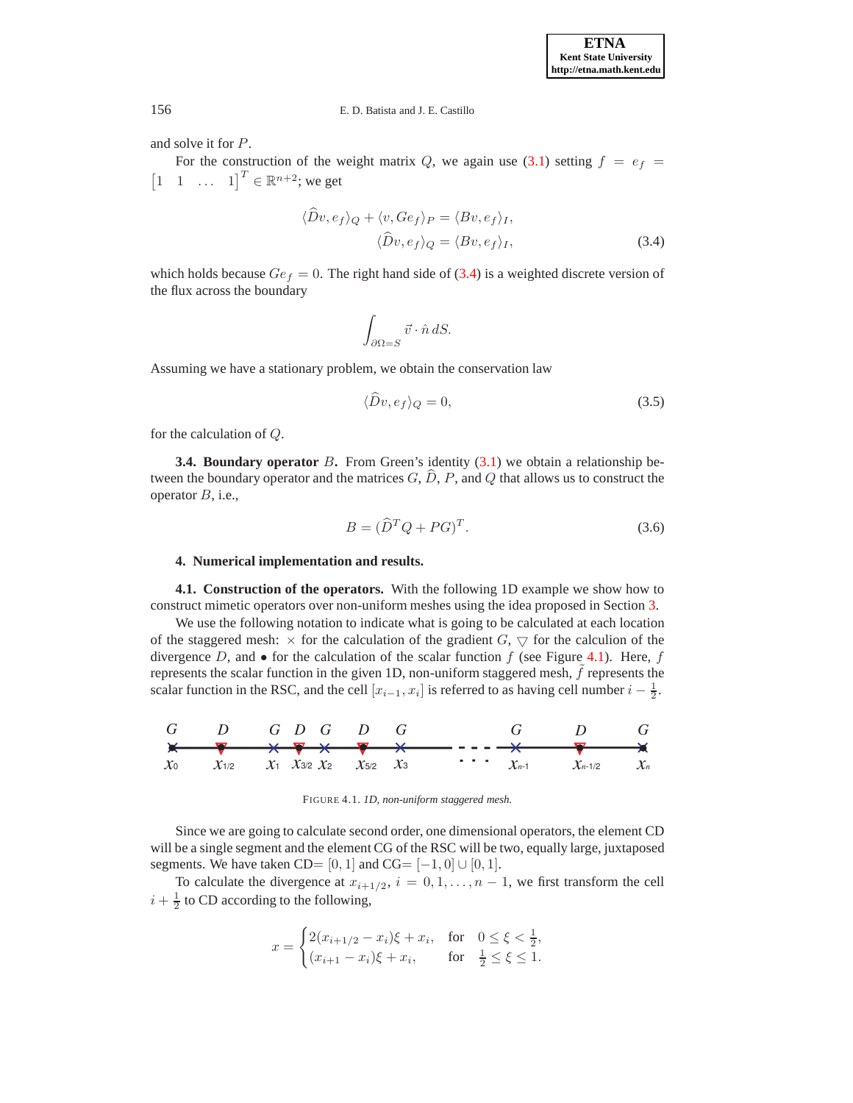and solve it for P.

For the construction of the weight matrix Q, we again use [\(3.1\)](#page-3-0) setting  $f = e_f$  $\begin{bmatrix} 1 & 1 & \dots & 1 \end{bmatrix}^T \in \mathbb{R}^{n+2}$ ; we get

$$
\langle Dv, e_f \rangle_Q + \langle v, Ge_f \rangle_P = \langle Bv, e_f \rangle_I,
$$
  

$$
\langle \hat{D}v, e_f \rangle_Q = \langle Bv, e_f \rangle_I,
$$
 (3.4)

which holds because  $Ge_f = 0$ . The right hand side of [\(3.4\)](#page-4-1) is a weighted discrete version of the flux across the boundary

<span id="page-4-1"></span>
$$
\int_{\partial\Omega=S} \vec{v} \cdot \hat{n} \, dS.
$$

Assuming we have a stationary problem, we obtain the conservation law

<span id="page-4-2"></span>
$$
\langle \hat{D}v, e_f \rangle_Q = 0,\tag{3.5}
$$

for the calculation of Q.

**3.4. Boundary operator** B. From Green's identity [\(3.1\)](#page-3-0) we obtain a relationship between the boundary operator and the matrices  $G, \hat{D}, P$ , and  $Q$  that allows us to construct the operator  $B$ , i.e.,

<span id="page-4-3"></span>
$$
B = (\widehat{D}^T Q + PG)^T. \tag{3.6}
$$

## **4. Numerical implementation and results.**

**4.1. Construction of the operators.** With the following 1D example we show how to construct mimetic operators over non-uniform meshes using the idea proposed in Section [3.](#page-2-0)

We use the following notation to indicate what is going to be calculated at each location of the staggered mesh:  $\times$  for the calculation of the gradient  $G$ ,  $\bigtriangledown$  for the calculion of the divergence D, and  $\bullet$  for the calculation of the scalar function f (see Figure [4.1\)](#page-4-0). Here, f represents the scalar function in the given 1D, non-uniform staggered mesh,  $f$  represents the scalar function in the RSC, and the cell  $[x_{i-1}, x_i]$  is referred to as having cell number  $i - \frac{1}{2}$ .



<span id="page-4-0"></span>FIGURE 4.1. *1D, non-uniform staggered mesh.*

Since we are going to calculate second order, one dimensional operators, the element CD will be a single segment and the element CG of the RSC will be two, equally large, juxtaposed segments. We have taken CD= [0, 1] and CG=  $[-1, 0] \cup [0, 1]$ .

To calculate the divergence at  $x_{i+1/2}$ ,  $i = 0, 1, ..., n - 1$ , we first transform the cell  $i + \frac{1}{2}$  to CD according to the following,

$$
x = \begin{cases} 2(x_{i+1/2} - x_i)\xi + x_i, & \text{for} \quad 0 \le \xi < \frac{1}{2}, \\ (x_{i+1} - x_i)\xi + x_i, & \text{for} \quad \frac{1}{2} \le \xi \le 1. \end{cases}
$$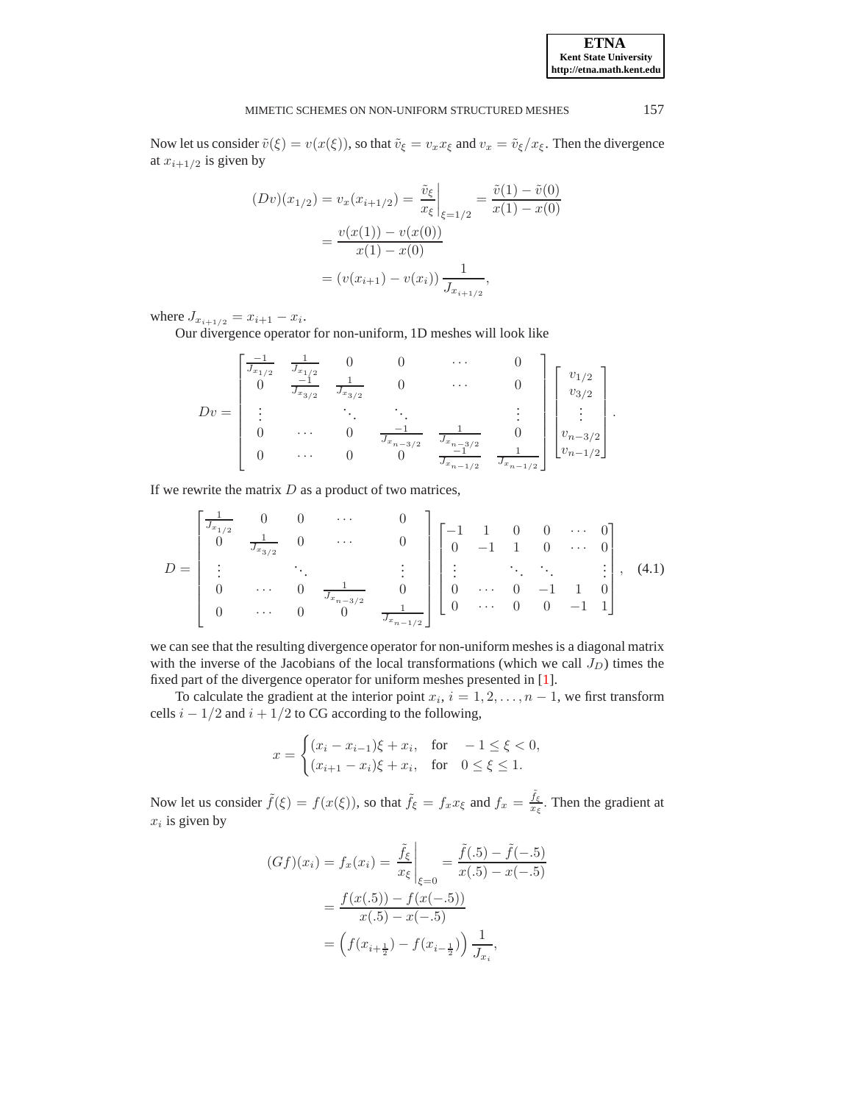Now let us consider  $\tilde{v}(\xi) = v(x(\xi))$ , so that  $\tilde{v}_{\xi} = v_x x_{\xi}$  and  $v_x = \tilde{v}_{\xi}/x_{\xi}$ . Then the divergence at  $x_{i+1/2}$  is given by

$$
(Dv)(x_{1/2}) = v_x(x_{i+1/2}) = \frac{\tilde{v}_{\xi}}{x_{\xi}}\Big|_{\xi=1/2} = \frac{\tilde{v}(1) - \tilde{v}(0)}{x(1) - x(0)}
$$

$$
= \frac{v(x(1)) - v(x(0))}{x(1) - x(0)}
$$

$$
= (v(x_{i+1}) - v(x_i)) \frac{1}{J_{x_{i+1/2}}},
$$

where  $J_{x_{i+1/2}} = x_{i+1} - x_i$ .

Our divergence operator for non-uniform, 1D meshes will look like

$$
Dv = \begin{bmatrix} \frac{-1}{J_{x_{1/2}}} & \frac{1}{J_{x_{1/2}}} & 0 & 0 & \cdots & 0 \\ 0 & \frac{-1}{J_{x_{3/2}}} & \frac{1}{J_{x_{3/2}}} & 0 & \cdots & 0 \\ \vdots & \ddots & \ddots & \ddots & \vdots \\ 0 & \cdots & 0 & \frac{-1}{J_{x_{n-3/2}}} & \frac{1}{J_{x_{n-1/2}}} & 0 \\ 0 & \cdots & 0 & 0 & \frac{-1}{J_{x_{n-1/2}}} & \frac{1}{J_{x_{n-1/2}}} \end{bmatrix} \begin{bmatrix} v_{1/2} \\ v_{3/2} \\ \vdots \\ v_{n-3/2} \\ v_{n-1/2} \end{bmatrix}.
$$

If we rewrite the matrix  $D$  as a product of two matrices,

<span id="page-5-0"></span>
$$
D = \begin{bmatrix} \frac{1}{J_{x_{1/2}}} & 0 & 0 & \cdots & 0 \\ 0 & \frac{1}{J_{x_{3/2}}} & 0 & \cdots & 0 \\ \vdots & \ddots & \ddots & \vdots \\ 0 & \cdots & 0 & \frac{1}{J_{x_{n-3/2}}} & 0 \\ 0 & \cdots & 0 & 0 & \frac{1}{J_{x_{n-1/2}}} \end{bmatrix} \begin{bmatrix} -1 & 1 & 0 & 0 & \cdots & 0 \\ 0 & -1 & 1 & 0 & \cdots & 0 \\ \vdots & \ddots & \ddots & \ddots & \vdots \\ 0 & \cdots & 0 & -1 & 1 & 0 \\ 0 & \cdots & 0 & 0 & -1 & 1 \end{bmatrix}, (4.1)
$$

we can see that the resulting divergence operator for non-uniform meshes is a diagonal matrix with the inverse of the Jacobians of the local transformations (which we call  $J_D$ ) times the fixed part of the divergence operator for uniform meshes presented in [\[1\]](#page-10-2).

To calculate the gradient at the interior point  $x_i$ ,  $i = 1, 2, ..., n - 1$ , we first transform cells  $i - 1/2$  and  $i + 1/2$  to CG according to the following,

$$
x = \begin{cases} (x_i - x_{i-1})\xi + x_i, & \text{for } -1 \le \xi < 0, \\ (x_{i+1} - x_i)\xi + x_i, & \text{for } 0 \le \xi \le 1. \end{cases}
$$

Now let us consider  $\tilde{f}(\xi) = f(x(\xi))$ , so that  $\tilde{f}_{\xi} = f_x x_{\xi}$  and  $f_x = \frac{\tilde{f}_{\xi}}{x_{\xi}}$ . Then the gradient at  $x_i$  is given by

$$
(Gf)(x_i) = f_x(x_i) = \frac{\tilde{f}_{\xi}}{x_{\xi}} \bigg|_{\xi=0} = \frac{\tilde{f}(.5) - \tilde{f}(-.5)}{x(.5) - x(-.5)}
$$

$$
= \frac{f(x(.5)) - f(x(-.5))}{x(.5) - x(-.5)}
$$

$$
= \left(f(x_{i+\frac{1}{2}}) - f(x_{i-\frac{1}{2}})\right) \frac{1}{J_{x_i}},
$$

**ETNA Kent State University http://etna.math.kent.edu**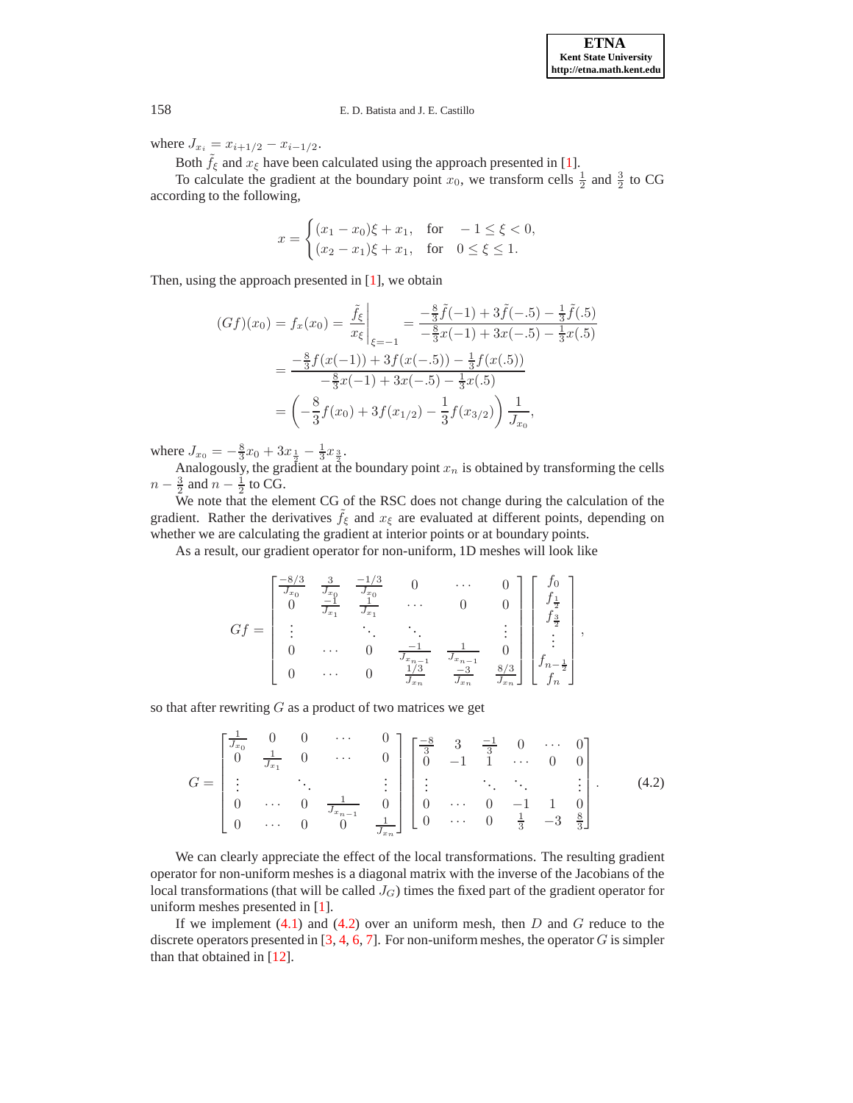where  $J_{x_i} = x_{i+1/2} - x_{i-1/2}$ .

Both  $\tilde{f}_{\xi}$  and  $x_{\xi}$  have been calculated using the approach presented in [\[1](#page-10-2)].

To calculate the gradient at the boundary point  $x_0$ , we transform cells  $\frac{1}{2}$  and  $\frac{3}{2}$  to CG according to the following,

$$
x = \begin{cases} (x_1 - x_0)\xi + x_1, & \text{for } -1 \le \xi < 0, \\ (x_2 - x_1)\xi + x_1, & \text{for } 0 \le \xi \le 1. \end{cases}
$$

Then, using the approach presented in [\[1](#page-10-2)], we obtain

$$
(Gf)(x_0) = f_x(x_0) = \frac{\tilde{f}_{\xi}}{x_{\xi}}\Big|_{\xi=-1} = \frac{-\frac{8}{3}\tilde{f}(-1) + 3\tilde{f}(-.5) - \frac{1}{3}\tilde{f}(.5)}{-\frac{8}{3}x(-1) + 3x(-.5) - \frac{1}{3}x(.5)}
$$

$$
= \frac{-\frac{8}{3}f(x(-1)) + 3f(x(-.5)) - \frac{1}{3}f(x(.5))}{-\frac{8}{3}x(-1) + 3x(-.5) - \frac{1}{3}x(.5)}
$$

$$
= \left(-\frac{8}{3}f(x_0) + 3f(x_{1/2}) - \frac{1}{3}f(x_{3/2})\right)\frac{1}{J_{x_0}},
$$

where  $J_{x_0} = -\frac{8}{3}x_0 + 3x_{\frac{1}{2}} - \frac{1}{3}x_{\frac{3}{2}}$ .

Analogously, the gradient at the boundary point  $x_n$  is obtained by transforming the cells  $n-\frac{3}{2}$  and  $n-\frac{1}{2}$  to CG.

We note that the element CG of the RSC does not change during the calculation of the gradient. Rather the derivatives  $f_{\xi}$  and  $x_{\xi}$  are evaluated at different points, depending on whether we are calculating the gradient at interior points or at boundary points.

As a result, our gradient operator for non-uniform, 1D meshes will look like

$$
Gf = \begin{bmatrix} \frac{-8/3}{J_{x_0}} & \frac{3}{J_{x_0}} & \frac{-1/3}{J_{x_0}} & 0 & \cdots & 0 \\ 0 & \frac{-1}{J_{x_1}} & \frac{1}{J_{x_1}} & \cdots & 0 & 0 \\ \vdots & \ddots & \ddots & \ddots & \vdots \\ 0 & \cdots & 0 & \frac{-1}{J_{x_{n-1}}} & \frac{1}{J_{x_{n-1}}} & 0 \\ 0 & \cdots & 0 & \frac{1/3}{J_{x_n}} & \frac{-3}{J_{x_n}} & \frac{8/3}{J_{x_n}} \end{bmatrix} \begin{bmatrix} f_0 \\ f_{\frac{1}{2}} \\ \vdots \\ f_{\frac{n-1}{2}} \\ \vdots \\ f_n \end{bmatrix},
$$

so that after rewriting  $G$  as a product of two matrices we get

<span id="page-6-0"></span>
$$
G = \begin{bmatrix} \frac{1}{J_{x_0}} & 0 & 0 & \cdots & 0 \\ 0 & \frac{1}{J_{x_1}} & 0 & \cdots & 0 \\ \vdots & & \ddots & & \vdots \\ 0 & \cdots & 0 & \frac{1}{J_{x_{n-1}}} & 0 \\ 0 & \cdots & 0 & 0 & \frac{1}{J_{x_n}} \end{bmatrix} \begin{bmatrix} \frac{-8}{3} & 3 & \frac{-1}{3} & 0 & \cdots & 0 \\ 0 & -1 & 1 & \cdots & 0 & 0 \\ \vdots & & \ddots & \ddots & & \vdots \\ 0 & \cdots & 0 & -1 & 1 & 0 \\ 0 & \cdots & 0 & \frac{1}{3} & -3 & \frac{8}{3} \end{bmatrix} . \tag{4.2}
$$

We can clearly appreciate the effect of the local transformations. The resulting gradient operator for non-uniform meshes is a diagonal matrix with the inverse of the Jacobians of the local transformations (that will be called  $J_G$ ) times the fixed part of the gradient operator for uniform meshes presented in [\[1\]](#page-10-2).

If we implement  $(4.1)$  and  $(4.2)$  over an uniform mesh, then D and G reduce to the discrete operators presented in [\[3,](#page-10-6) [4,](#page-10-11) [6](#page-10-4), [7\]](#page-10-7). For non-uniform meshes, the operator G is simpler than that obtained in [\[12\]](#page-10-8).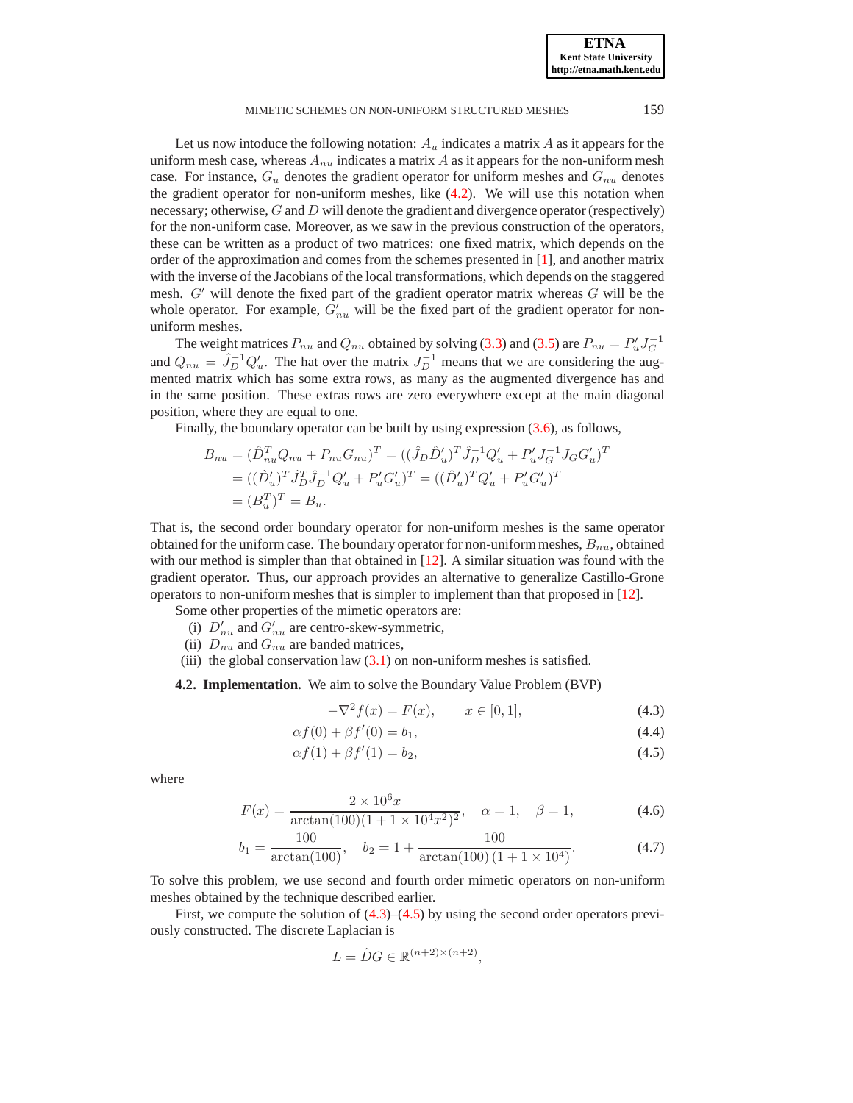### MIMETIC SCHEMES ON NON-UNIFORM STRUCTURED MESHES 159

Let us now intoduce the following notation:  $A_u$  indicates a matrix A as it appears for the uniform mesh case, whereas  $A_{nu}$  indicates a matrix  $A$  as it appears for the non-uniform mesh case. For instance,  $G_u$  denotes the gradient operator for uniform meshes and  $G_{nu}$  denotes the gradient operator for non-uniform meshes, like [\(4.2\)](#page-6-0). We will use this notation when necessary; otherwise,  $G$  and  $D$  will denote the gradient and divergence operator (respectively) for the non-uniform case. Moreover, as we saw in the previous construction of the operators, these can be written as a product of two matrices: one fixed matrix, which depends on the order of the approximation and comes from the schemes presented in [\[1\]](#page-10-2), and another matrix with the inverse of the Jacobians of the local transformations, which depends on the staggered mesh.  $G'$  will denote the fixed part of the gradient operator matrix whereas  $G$  will be the whole operator. For example,  $G'_{nu}$  will be the fixed part of the gradient operator for nonuniform meshes.

The weight matrices  $P_{nu}$  and  $Q_{nu}$  obtained by solving [\(3.3\)](#page-3-2) and [\(3.5\)](#page-4-2) are  $P_{nu} = P_u^{\prime} J_G^{-1}$ and  $Q_{nu} = \hat{J}_D^{-1} Q'_u$ . The hat over the matrix  $J_D^{-1}$  means that we are considering the augmented matrix which has some extra rows, as many as the augmented divergence has and in the same position. These extras rows are zero everywhere except at the main diagonal position, where they are equal to one.

Finally, the boundary operator can be built by using expression [\(3.6\)](#page-4-3), as follows,

$$
B_{nu} = (\hat{D}_{nu}^T Q_{nu} + P_{nu} G_{nu})^T = ((\hat{J}_D \hat{D}'_u)^T \hat{J}_D^{-1} Q'_u + P'_u J_G^{-1} J_G G'_u)^T
$$
  
= 
$$
((\hat{D}'_u)^T \hat{J}_D^T \hat{J}_D^{-1} Q'_u + P'_u G'_u)^T = ((\hat{D}'_u)^T Q'_u + P'_u G'_u)^T
$$
  
= 
$$
(B_u^T)^T = B_u.
$$

That is, the second order boundary operator for non-uniform meshes is the same operator obtained for the uniform case. The boundary operator for non-uniform meshes,  $B_{nu}$ , obtained with our method is simpler than that obtained in  $[12]$ . A similar situation was found with the gradient operator. Thus, our approach provides an alternative to generalize Castillo-Grone operators to non-uniform meshes that is simpler to implement than that proposed in [\[12](#page-10-8)].

- Some other properties of the mimetic operators are:
	- (i)  $D'_{nu}$  and  $G'_{nu}$  are centro-skew-symmetric,
	- (ii)  $D_{nu}$  and  $G_{nu}$  are banded matrices,
- (iii) the global conservation law  $(3.1)$  on non-uniform meshes is satisfied.

**4.2. Implementation.** We aim to solve the Boundary Value Problem (BVP)

<span id="page-7-2"></span><span id="page-7-1"></span><span id="page-7-0"></span>
$$
-\nabla^2 f(x) = F(x), \qquad x \in [0, 1], \tag{4.3}
$$

$$
\alpha f(0) + \beta f'(0) = b_1,
$$
\n(4.4)

$$
\alpha f(1) + \beta f'(1) = b_2,\tag{4.5}
$$

where

$$
F(x) = \frac{2 \times 10^6 x}{\arctan(100)(1 + 1 \times 10^4 x^2)^2}, \quad \alpha = 1, \quad \beta = 1,
$$
 (4.6)

$$
b_1 = \frac{100}{\arctan(100)}, \quad b_2 = 1 + \frac{100}{\arctan(100)(1 + 1 \times 10^4)}.\tag{4.7}
$$

To solve this problem, we use second and fourth order mimetic operators on non-uniform meshes obtained by the technique described earlier.

First, we compute the solution of  $(4.3)$ – $(4.5)$  by using the second order operators previously constructed. The discrete Laplacian is

$$
L = \hat{D}G \in \mathbb{R}^{(n+2)\times(n+2)},
$$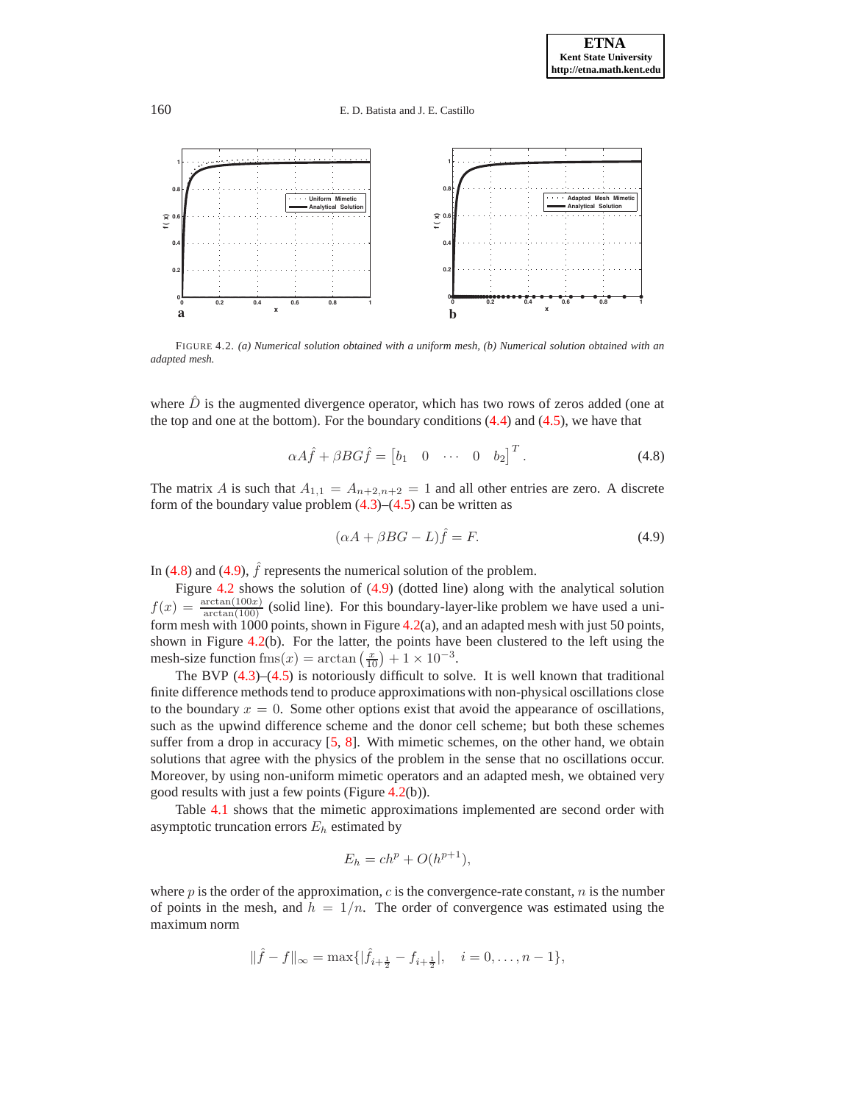160 E. D. Batista and J. E. Castillo



<span id="page-8-2"></span>FIGURE 4.2. *(a) Numerical solution obtained with a uniform mesh, (b) Numerical solution obtained with an adapted mesh.*

where  $\hat{D}$  is the augmented divergence operator, which has two rows of zeros added (one at the top and one at the bottom). For the boundary conditions  $(4.4)$  and  $(4.5)$ , we have that

<span id="page-8-0"></span>
$$
\alpha A \hat{f} + \beta B G \hat{f} = \begin{bmatrix} b_1 & 0 & \cdots & 0 & b_2 \end{bmatrix}^T.
$$
 (4.8)

The matrix A is such that  $A_{1,1} = A_{n+2,n+2} = 1$  and all other entries are zero. A discrete form of the boundary value problem  $(4.3)$ – $(4.5)$  can be written as

<span id="page-8-1"></span>
$$
(\alpha A + \beta BG - L)\hat{f} = F.
$$
\n(4.9)

In [\(4.8\)](#page-8-0) and [\(4.9\)](#page-8-1),  $\hat{f}$  represents the numerical solution of the problem.

Figure [4.2](#page-8-2) shows the solution of [\(4.9\)](#page-8-1) (dotted line) along with the analytical solution  $f(x) = \frac{\arctan(100x)}{\arctan(100)}$  (solid line). For this boundary-layer-like problem we have used a uni-form mesh with 1000 points, shown in Figure [4.2\(](#page-8-2)a), and an adapted mesh with just 50 points, shown in Figure [4.2\(](#page-8-2)b). For the latter, the points have been clustered to the left using the mesh-size function fms $(x) = \arctan\left(\frac{x}{10}\right) + 1 \times 10^{-3}$ .

The BVP  $(4.3)$ – $(4.5)$  is notoriously difficult to solve. It is well known that traditional finite difference methods tend to produce approximations with non-physical oscillations close to the boundary  $x = 0$ . Some other options exist that avoid the appearance of oscillations, such as the upwind difference scheme and the donor cell scheme; but both these schemes suffer from a drop in accuracy [\[5](#page-10-12), [8\]](#page-10-13). With mimetic schemes, on the other hand, we obtain solutions that agree with the physics of the problem in the sense that no oscillations occur. Moreover, by using non-uniform mimetic operators and an adapted mesh, we obtained very good results with just a few points (Figure [4.2\(](#page-8-2)b)).

Table [4.1](#page-9-1) shows that the mimetic approximations implemented are second order with asymptotic truncation errors  $E_h$  estimated by

$$
E_h = ch^p + O(h^{p+1}),
$$

where  $p$  is the order of the approximation,  $c$  is the convergence-rate constant,  $n$  is the number of points in the mesh, and  $h = 1/n$ . The order of convergence was estimated using the maximum norm

$$
\|\hat{f} - f\|_{\infty} = \max\{|\hat{f}_{i + \frac{1}{2}} - f_{i + \frac{1}{2}}|, \quad i = 0, \dots, n - 1\},\
$$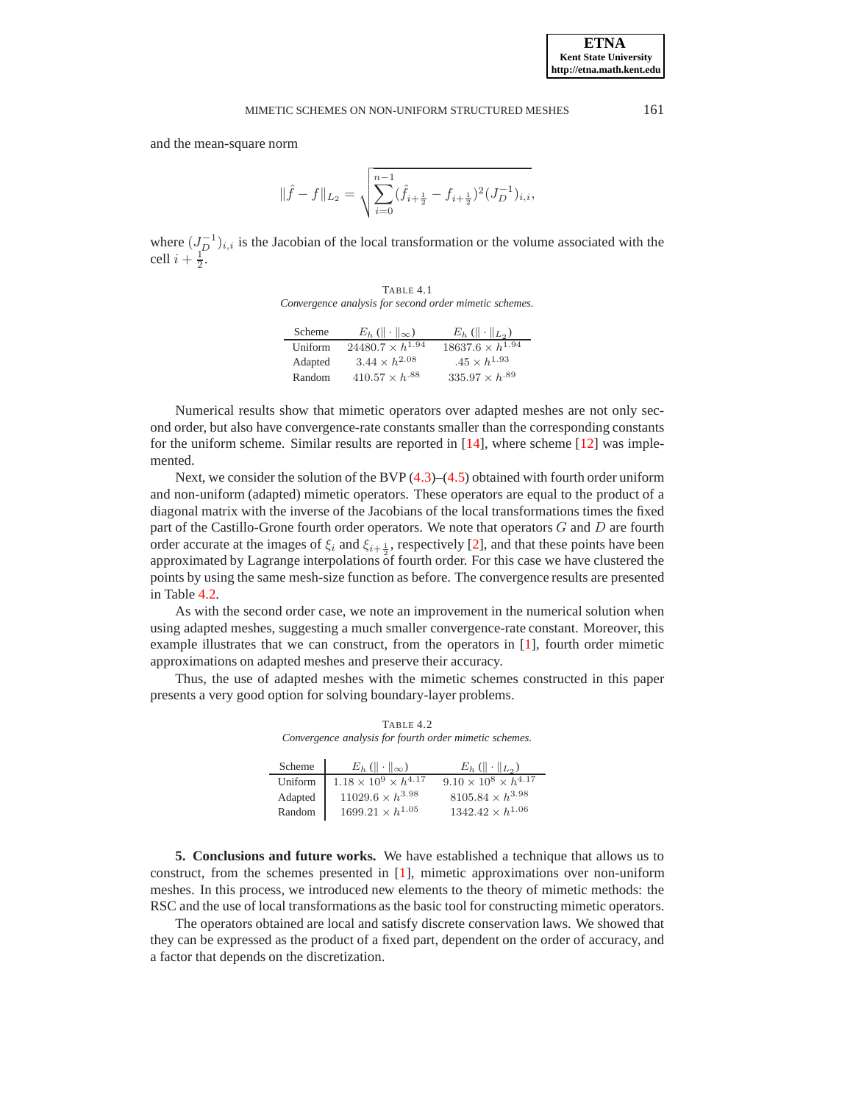and the mean-square norm

$$
\|\hat{f}-f\|_{L_2}=\sqrt{\sum_{i=0}^{n-1}(\hat{f}_{i+\frac{1}{2}}-f_{i+\frac{1}{2}})^2(J_D^{-1})_{i,i}},
$$

where  $(J_D^{-1})_{i,i}$  is the Jacobian of the local transformation or the volume associated with the cell  $i + \frac{1}{2}$ .

TABLE 4.1 *Convergence analysis for second order mimetic schemes.*

<span id="page-9-1"></span>

| Scheme  | $E_h$ ( $\ \cdot\ _{\infty}$ ) | $E_h$ ( $\ \cdot\ _{L_2}$ ) |
|---------|--------------------------------|-----------------------------|
| Uniform | $24480.7 \times h^{1.94}$      | $18637.6 \times h^{1.94}$   |
| Adapted | $3.44 \times h^{2.08}$         | $.45 \times h^{1.93}$       |
| Random  | $410.57 \times h^{.88}$        | $335.97 \times h^{.89}$     |

Numerical results show that mimetic operators over adapted meshes are not only second order, but also have convergence-rate constants smaller than the corresponding constants for the uniform scheme. Similar results are reported in  $[14]$ , where scheme  $[12]$  was implemented.

Next, we consider the solution of the BVP [\(4.3\)](#page-7-0)–[\(4.5\)](#page-7-1) obtained with fourth order uniform and non-uniform (adapted) mimetic operators. These operators are equal to the product of a diagonal matrix with the inverse of the Jacobians of the local transformations times the fixed part of the Castillo-Grone fourth order operators. We note that operators G and D are fourth order accurate at the images of  $\xi_i$  and  $\xi_{i+\frac{1}{2}}$ , respectively [\[2](#page-10-15)], and that these points have been approximated by Lagrange interpolations of fourth order. For this case we have clustered the points by using the same mesh-size function as before. The convergence results are presented in Table [4.2.](#page-9-2)

As with the second order case, we note an improvement in the numerical solution when using adapted meshes, suggesting a much smaller convergence-rate constant. Moreover, this example illustrates that we can construct, from the operators in [\[1\]](#page-10-2), fourth order mimetic approximations on adapted meshes and preserve their accuracy.

Thus, the use of adapted meshes with the mimetic schemes constructed in this paper presents a very good option for solving boundary-layer problems.

TABLE  $4.2$ *Convergence analysis for fourth order mimetic schemes.*

<span id="page-9-2"></span>

| Scheme  | $E_h$ ( $\ \cdot\ _{\infty}$ )     | $E_h (   \cdot   _{L_2})$          |
|---------|------------------------------------|------------------------------------|
| Uniform | $1.18 \times 10^9 \times h^{4.17}$ | $9.10 \times 10^8 \times h^{4.17}$ |
| Adapted | $11029.6 \times h^{3.98}$          | $8105.84 \times h^{3.98}$          |
| Random  | $1699.21 \times h^{1.05}$          | $1342.42 \times h^{1.06}$          |

<span id="page-9-0"></span>**5. Conclusions and future works.** We have established a technique that allows us to construct, from the schemes presented in [\[1\]](#page-10-2), mimetic approximations over non-uniform meshes. In this process, we introduced new elements to the theory of mimetic methods: the RSC and the use of local transformations as the basic tool for constructing mimetic operators.

The operators obtained are local and satisfy discrete conservation laws. We showed that they can be expressed as the product of a fixed part, dependent on the order of accuracy, and a factor that depends on the discretization.